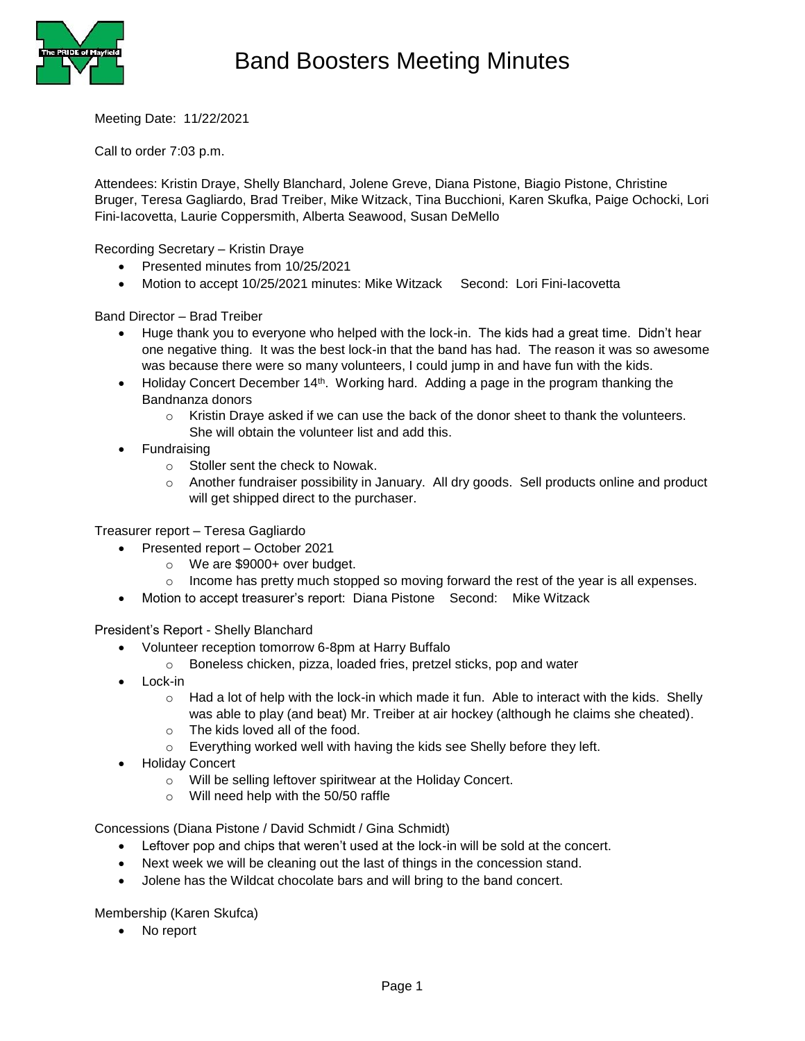

Meeting Date: 11/22/2021

Call to order 7:03 p.m.

Attendees: Kristin Draye, Shelly Blanchard, Jolene Greve, Diana Pistone, Biagio Pistone, Christine Bruger, Teresa Gagliardo, Brad Treiber, Mike Witzack, Tina Bucchioni, Karen Skufka, Paige Ochocki, Lori Fini-Iacovetta, Laurie Coppersmith, Alberta Seawood, Susan DeMello

Recording Secretary – Kristin Draye

- Presented minutes from 10/25/2021
- Motion to accept 10/25/2021 minutes: Mike Witzack Second: Lori Fini-Iacovetta

Band Director – Brad Treiber

- Huge thank you to everyone who helped with the lock-in. The kids had a great time. Didn't hear one negative thing. It was the best lock-in that the band has had. The reason it was so awesome was because there were so many volunteers, I could jump in and have fun with the kids.
- $\bullet$  Holiday Concert December 14<sup>th</sup>. Working hard. Adding a page in the program thanking the Bandnanza donors
	- $\circ$  Kristin Draye asked if we can use the back of the donor sheet to thank the volunteers. She will obtain the volunteer list and add this.
- Fundraising
	- o Stoller sent the check to Nowak.
	- o Another fundraiser possibility in January. All dry goods. Sell products online and product will get shipped direct to the purchaser.

Treasurer report – Teresa Gagliardo

- Presented report October 2021
	- o We are \$9000+ over budget.
	- $\circ$  Income has pretty much stopped so moving forward the rest of the year is all expenses.
- Motion to accept treasurer's report: Diana Pistone Second: Mike Witzack

President's Report - Shelly Blanchard

- Volunteer reception tomorrow 6-8pm at Harry Buffalo
	- o Boneless chicken, pizza, loaded fries, pretzel sticks, pop and water
- Lock-in
	- $\circ$  Had a lot of help with the lock-in which made it fun. Able to interact with the kids. Shelly was able to play (and beat) Mr. Treiber at air hockey (although he claims she cheated).
	- o The kids loved all of the food.
	- o Everything worked well with having the kids see Shelly before they left.
- Holiday Concert
	- o Will be selling leftover spiritwear at the Holiday Concert.
	- o Will need help with the 50/50 raffle

Concessions (Diana Pistone / David Schmidt / Gina Schmidt)

- Leftover pop and chips that weren't used at the lock-in will be sold at the concert.
- Next week we will be cleaning out the last of things in the concession stand.
- Jolene has the Wildcat chocolate bars and will bring to the band concert.

Membership (Karen Skufca)

• No report